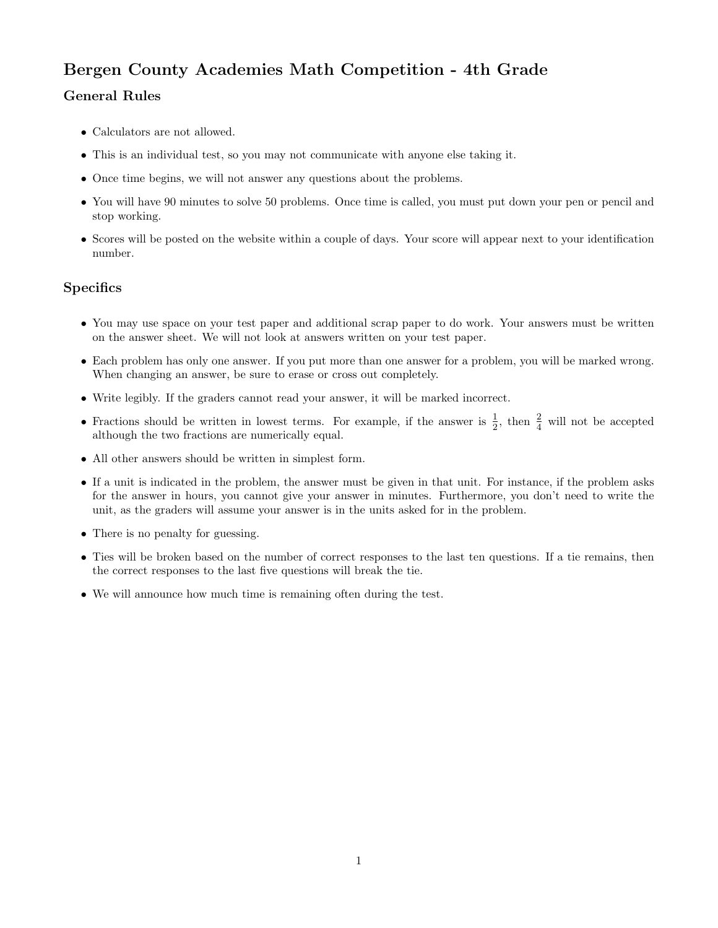## Bergen County Academies Math Competition - 4th Grade

## General Rules

- Calculators are not allowed.
- This is an individual test, so you may not communicate with anyone else taking it.
- Once time begins, we will not answer any questions about the problems.
- You will have 90 minutes to solve 50 problems. Once time is called, you must put down your pen or pencil and stop working.
- Scores will be posted on the website within a couple of days. Your score will appear next to your identification number.

## **Specifics**

- You may use space on your test paper and additional scrap paper to do work. Your answers must be written on the answer sheet. We will not look at answers written on your test paper.
- Each problem has only one answer. If you put more than one answer for a problem, you will be marked wrong. When changing an answer, be sure to erase or cross out completely.
- Write legibly. If the graders cannot read your answer, it will be marked incorrect.
- Fractions should be written in lowest terms. For example, if the answer is  $\frac{1}{2}$ , then  $\frac{2}{4}$  will not be accepted although the two fractions are numerically equal.
- All other answers should be written in simplest form.
- If a unit is indicated in the problem, the answer must be given in that unit. For instance, if the problem asks for the answer in hours, you cannot give your answer in minutes. Furthermore, you don't need to write the unit, as the graders will assume your answer is in the units asked for in the problem.
- There is no penalty for guessing.
- Ties will be broken based on the number of correct responses to the last ten questions. If a tie remains, then the correct responses to the last five questions will break the tie.
- We will announce how much time is remaining often during the test.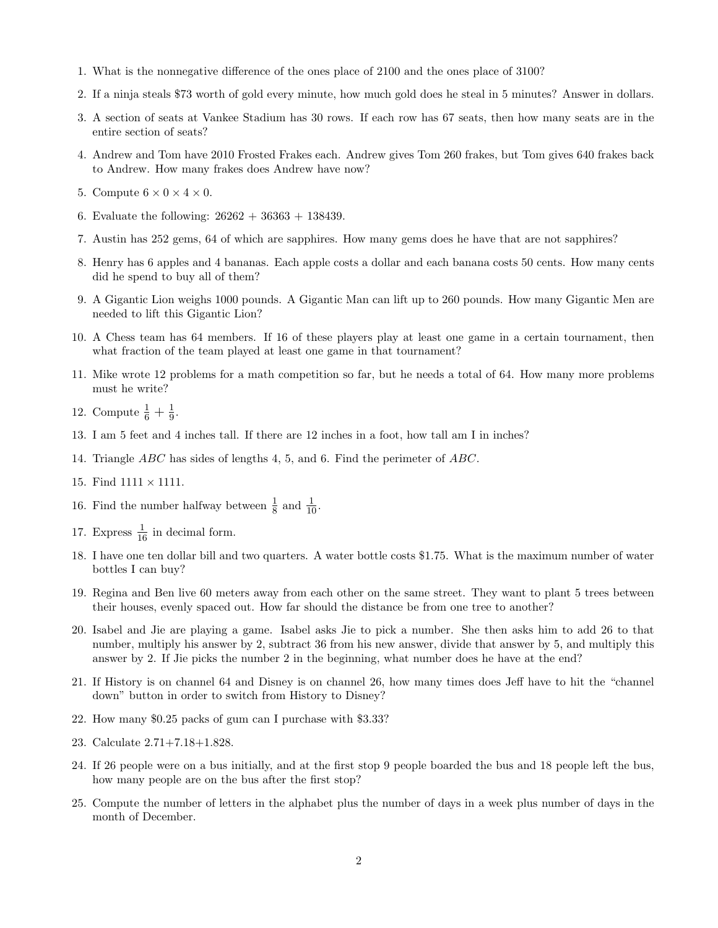- 1. What is the nonnegative difference of the ones place of 2100 and the ones place of 3100?
- 2. If a ninja steals \$73 worth of gold every minute, how much gold does he steal in 5 minutes? Answer in dollars.
- 3. A section of seats at Vankee Stadium has 30 rows. If each row has 67 seats, then how many seats are in the entire section of seats?
- 4. Andrew and Tom have 2010 Frosted Frakes each. Andrew gives Tom 260 frakes, but Tom gives 640 frakes back to Andrew. How many frakes does Andrew have now?
- 5. Compute  $6 \times 0 \times 4 \times 0$ .
- 6. Evaluate the following:  $26262 + 36363 + 138439$ .
- 7. Austin has 252 gems, 64 of which are sapphires. How many gems does he have that are not sapphires?
- 8. Henry has 6 apples and 4 bananas. Each apple costs a dollar and each banana costs 50 cents. How many cents did he spend to buy all of them?
- 9. A Gigantic Lion weighs 1000 pounds. A Gigantic Man can lift up to 260 pounds. How many Gigantic Men are needed to lift this Gigantic Lion?
- 10. A Chess team has 64 members. If 16 of these players play at least one game in a certain tournament, then what fraction of the team played at least one game in that tournament?
- 11. Mike wrote 12 problems for a math competition so far, but he needs a total of 64. How many more problems must he write?
- 12. Compute  $\frac{1}{6} + \frac{1}{9}$  $\frac{1}{9}$ .
- 13. I am 5 feet and 4 inches tall. If there are 12 inches in a foot, how tall am I in inches?
- 14. Triangle ABC has sides of lengths 4, 5, and 6. Find the perimeter of ABC.
- 15. Find  $1111 \times 1111$ .
- 16. Find the number halfway between  $\frac{1}{8}$  and  $\frac{1}{10}$ .
- 17. Express  $\frac{1}{16}$  in decimal form.
- 18. I have one ten dollar bill and two quarters. A water bottle costs \$1.75. What is the maximum number of water bottles I can buy?
- 19. Regina and Ben live 60 meters away from each other on the same street. They want to plant 5 trees between their houses, evenly spaced out. How far should the distance be from one tree to another?
- 20. Isabel and Jie are playing a game. Isabel asks Jie to pick a number. She then asks him to add 26 to that number, multiply his answer by 2, subtract 36 from his new answer, divide that answer by 5, and multiply this answer by 2. If Jie picks the number 2 in the beginning, what number does he have at the end?
- 21. If History is on channel 64 and Disney is on channel 26, how many times does Jeff have to hit the "channel down" button in order to switch from History to Disney?
- 22. How many \$0.25 packs of gum can I purchase with \$3.33?
- 23. Calculate 2.71+7.18+1.828.
- 24. If 26 people were on a bus initially, and at the first stop 9 people boarded the bus and 18 people left the bus, how many people are on the bus after the first stop?
- 25. Compute the number of letters in the alphabet plus the number of days in a week plus number of days in the month of December.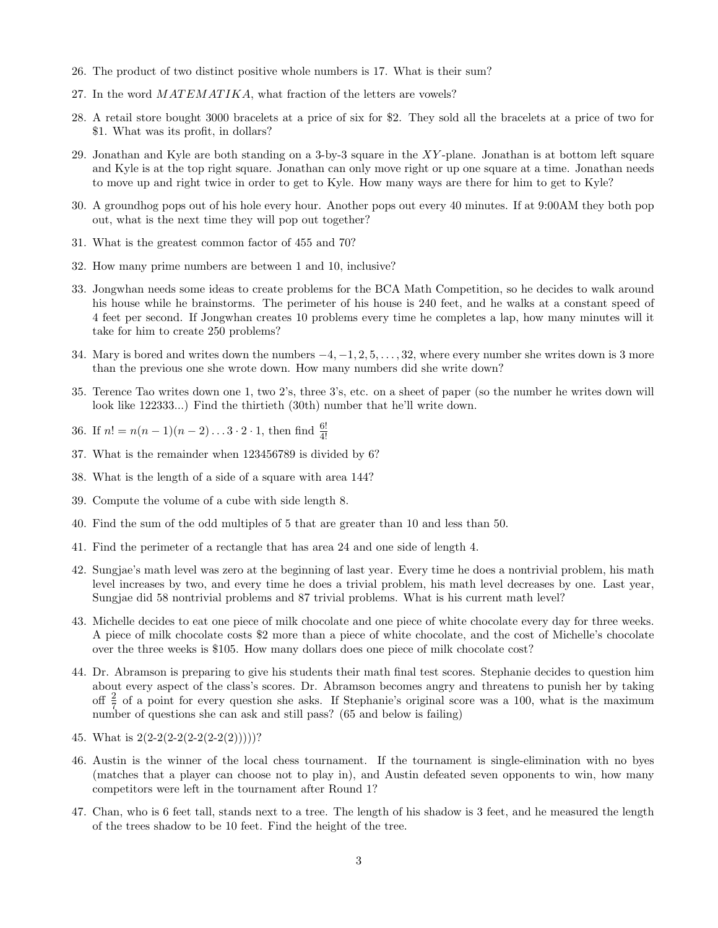- 26. The product of two distinct positive whole numbers is 17. What is their sum?
- 27. In the word  $MATEMATIKA$ , what fraction of the letters are vowels?
- 28. A retail store bought 3000 bracelets at a price of six for \$2. They sold all the bracelets at a price of two for \$1. What was its profit, in dollars?
- 29. Jonathan and Kyle are both standing on a 3-by-3 square in the XY -plane. Jonathan is at bottom left square and Kyle is at the top right square. Jonathan can only move right or up one square at a time. Jonathan needs to move up and right twice in order to get to Kyle. How many ways are there for him to get to Kyle?
- 30. A groundhog pops out of his hole every hour. Another pops out every 40 minutes. If at 9:00AM they both pop out, what is the next time they will pop out together?
- 31. What is the greatest common factor of 455 and 70?
- 32. How many prime numbers are between 1 and 10, inclusive?
- 33. Jongwhan needs some ideas to create problems for the BCA Math Competition, so he decides to walk around his house while he brainstorms. The perimeter of his house is 240 feet, and he walks at a constant speed of 4 feet per second. If Jongwhan creates 10 problems every time he completes a lap, how many minutes will it take for him to create 250 problems?
- 34. Mary is bored and writes down the numbers −4, −1, 2, 5, . . . , 32, where every number she writes down is 3 more than the previous one she wrote down. How many numbers did she write down?
- 35. Terence Tao writes down one 1, two 2's, three 3's, etc. on a sheet of paper (so the number he writes down will look like 122333...) Find the thirtieth (30th) number that he'll write down.
- 36. If  $n! = n(n-1)(n-2)...3 \cdot 2 \cdot 1$ , then find  $\frac{6!}{4!}$
- 37. What is the remainder when 123456789 is divided by 6?
- 38. What is the length of a side of a square with area 144?
- 39. Compute the volume of a cube with side length 8.
- 40. Find the sum of the odd multiples of 5 that are greater than 10 and less than 50.
- 41. Find the perimeter of a rectangle that has area 24 and one side of length 4.
- 42. Sungjae's math level was zero at the beginning of last year. Every time he does a nontrivial problem, his math level increases by two, and every time he does a trivial problem, his math level decreases by one. Last year, Sungjae did 58 nontrivial problems and 87 trivial problems. What is his current math level?
- 43. Michelle decides to eat one piece of milk chocolate and one piece of white chocolate every day for three weeks. A piece of milk chocolate costs \$2 more than a piece of white chocolate, and the cost of Michelle's chocolate over the three weeks is \$105. How many dollars does one piece of milk chocolate cost?
- 44. Dr. Abramson is preparing to give his students their math final test scores. Stephanie decides to question him about every aspect of the class's scores. Dr. Abramson becomes angry and threatens to punish her by taking off  $\frac{2}{7}$  of a point for every question she asks. If Stephanie's original score was a 100, what is the maximum number of questions she can ask and still pass? (65 and below is failing)
- 45. What is  $2(2-2(2-2(2-2(2-2))))$ ?
- 46. Austin is the winner of the local chess tournament. If the tournament is single-elimination with no byes (matches that a player can choose not to play in), and Austin defeated seven opponents to win, how many competitors were left in the tournament after Round 1?
- 47. Chan, who is 6 feet tall, stands next to a tree. The length of his shadow is 3 feet, and he measured the length of the trees shadow to be 10 feet. Find the height of the tree.